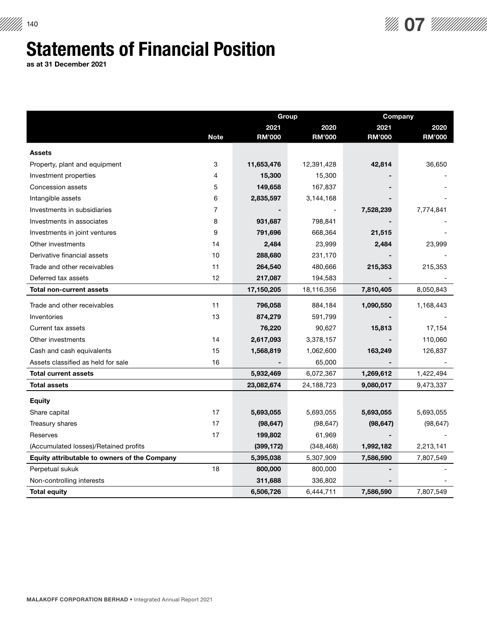## Statements of Financial Position

as at 31 December 2021

|                                                     |                | <b>Group</b>  |               | Company       |               |
|-----------------------------------------------------|----------------|---------------|---------------|---------------|---------------|
|                                                     |                | 2021          | 2020          | 2021          | 2020          |
|                                                     | <b>Note</b>    | <b>RM'000</b> | <b>RM'000</b> | <b>RM'000</b> | <b>RM'000</b> |
| <b>Assets</b>                                       |                |               |               |               |               |
| Property, plant and equipment                       | 3              | 11,653,476    | 12,391,428    | 42,814        | 36,650        |
| Investment properties                               | 4              | 15,300        | 15,300        |               |               |
| Concession assets                                   | 5              | 149,658       | 167,837       |               |               |
| Intangible assets                                   | 6              | 2,835,597     | 3,144,168     |               |               |
| Investments in subsidiaries                         | $\overline{7}$ |               |               | 7,528,239     | 7,774,841     |
| Investments in associates                           | 8              | 931,687       | 798,841       |               |               |
| Investments in joint ventures                       | 9              | 791,696       | 668,364       | 21,515        |               |
| Other investments                                   | 14             | 2,484         | 23,999        | 2,484         | 23,999        |
| Derivative financial assets                         | 10             | 288,680       | 231,170       |               |               |
| Trade and other receivables                         | 11             | 264,540       | 480,666       | 215,353       | 215,353       |
| Deferred tax assets                                 | 12             | 217,087       | 194,583       |               |               |
| <b>Total non-current assets</b>                     |                | 17,150,205    | 18,116,356    | 7,810,405     | 8,050,843     |
| Trade and other receivables                         | 11             | 796,058       | 884,184       | 1,090,550     | 1,168,443     |
| Inventories                                         | 13             | 874,279       | 591,799       |               |               |
| Current tax assets                                  |                | 76,220        | 90,627        | 15,813        | 17,154        |
| Other investments                                   | 14             | 2,617,093     | 3,378,157     |               | 110,060       |
| Cash and cash equivalents                           | 15             | 1,568,819     | 1,062,600     | 163,249       | 126,837       |
| Assets classified as held for sale                  | 16             |               | 65,000        |               |               |
| <b>Total current assets</b>                         |                | 5,932,469     | 6,072,367     | 1,269,612     | 1,422,494     |
| <b>Total assets</b>                                 |                | 23,082,674    | 24,188,723    | 9,080,017     | 9,473,337     |
| <b>Equity</b>                                       |                |               |               |               |               |
| Share capital                                       | 17             | 5,693,055     | 5,693,055     | 5,693,055     | 5,693,055     |
| Treasury shares                                     | 17             | (98, 647)     | (98, 647)     | (98, 647)     | (98, 647)     |
| Reserves                                            | 17             | 199,802       | 61,969        |               |               |
| (Accumulated losses)/Retained profits               |                | (399, 172)    | (348, 468)    | 1,992,182     | 2,213,141     |
| <b>Equity attributable to owners of the Company</b> |                | 5,395,038     | 5,307,909     | 7,586,590     | 7,807,549     |
| Perpetual sukuk                                     | 18             | 800,000       | 800,000       |               |               |
| Non-controlling interests                           |                | 311,688       | 336,802       |               |               |
| <b>Total equity</b>                                 |                | 6,506,726     | 6,444,711     | 7,586,590     | 7,807,549     |

 $\frac{1}{40}$  07